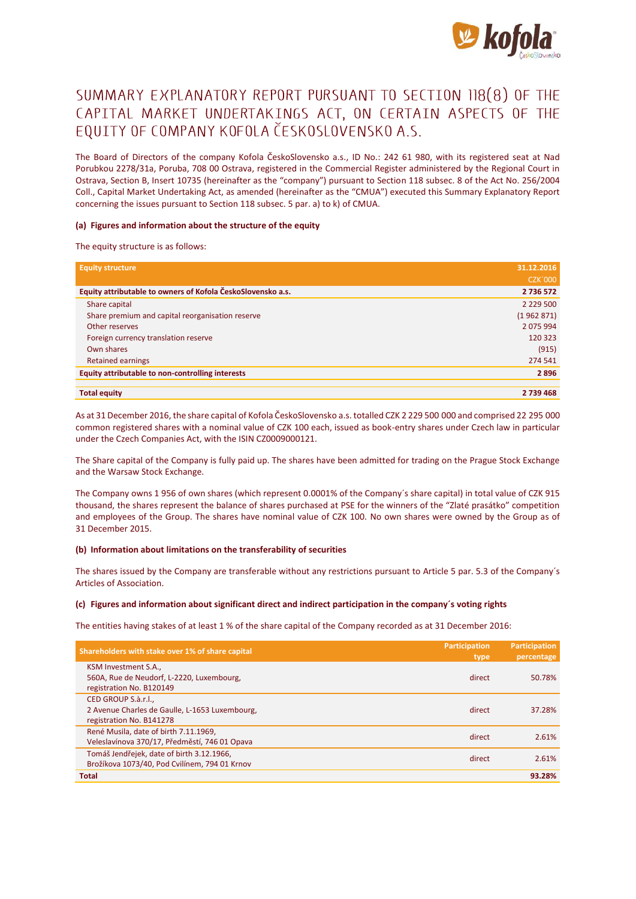

# SUMMARY EXPLANATORY REPORT PURSUANT TO SECTION 118(8) OF THE CAPITAL MARKET UNDERTAKINGS ACT, ON CERTAIN ASPECTS OF THE EQUITY OF COMPANY KOFOLA ČESKOSLOVENSKO A.S.

The Board of Directors of the company Kofola ČeskoSlovensko a.s., ID No.: 242 61 980, with its registered seat at Nad Porubkou 2278/31a, Poruba, 708 00 Ostrava, registered in the Commercial Register administered by the Regional Court in Ostrava, Section B, Insert 10735 (hereinafter as the "company") pursuant to Section 118 subsec. 8 of the Act No. 256/2004 Coll., Capital Market Undertaking Act, as amended (hereinafter as the "CMUA") executed this Summary Explanatory Report concerning the issues pursuant to Section 118 subsec. 5 par. a) to k) of CMUA.

## **(a) Figures and information about the structure of the equity**

The equity structure is as follows:

| <b>Equity structure</b>                                     | 31.12.2016     |
|-------------------------------------------------------------|----------------|
|                                                             | <b>CZK'000</b> |
| Equity attributable to owners of Kofola ČeskoSlovensko a.s. | 2 736 572      |
| Share capital                                               | 2 2 2 5 0 0    |
| Share premium and capital reorganisation reserve            | (1962871)      |
| Other reserves                                              | 2 075 994      |
| Foreign currency translation reserve                        | 120 323        |
| Own shares                                                  | (915)          |
| <b>Retained earnings</b>                                    | 274 541        |
| Equity attributable to non-controlling interests            | 2896           |
|                                                             |                |
| <b>Total equity</b>                                         | 2 739 468      |

As at 31 December 2016, the share capital of Kofola ČeskoSlovensko a.s. totalled CZK 2 229 500 000 and comprised 22 295 000 common registered shares with a nominal value of CZK 100 each, issued as book-entry shares under Czech law in particular under the Czech Companies Act, with the ISIN CZ0009000121.

The Share capital of the Company is fully paid up. The shares have been admitted for trading on the Prague Stock Exchange and the Warsaw Stock Exchange.

The Company owns 1 956 of own shares (which represent 0.0001% of the Company´s share capital) in total value of CZK 915 thousand, the shares represent the balance of shares purchased at PSE for the winners of the "Zlaté prasátko" competition and employees of the Group. The shares have nominal value of CZK 100. No own shares were owned by the Group as of 31 December 2015.

## **(b) Information about limitations on the transferability of securities**

The shares issued by the Company are transferable without any restrictions pursuant to Article 5 par. 5.3 of the Company´s Articles of Association.

## **(c) Figures and information about significant direct and indirect participation in the company´s voting rights**

The entities having stakes of at least 1 % of the share capital of the Company recorded as at 31 December 2016:

| Shareholders with stake over 1% of share capital                                                | Participation  | <b>Participation</b> |
|-------------------------------------------------------------------------------------------------|----------------|----------------------|
| KSM Investment S.A.,<br>560A, Rue de Neudorf, L-2220, Luxembourg,<br>registration No. B120149   | type<br>direct | percentage<br>50.78% |
| CED GROUP S.à.r.l<br>2 Avenue Charles de Gaulle, L-1653 Luxembourg,<br>registration No. B141278 | direct         | 37.28%               |
| René Musila, date of birth 7.11.1969,<br>Veleslavínova 370/17, Předměstí, 746 01 Opava          | direct         | 2.61%                |
| Tomáš Jendřejek, date of birth 3.12.1966,<br>Brožíkova 1073/40, Pod Cvilínem, 794 01 Krnov      | direct         | 2.61%                |
| <b>Total</b>                                                                                    |                | 93.28%               |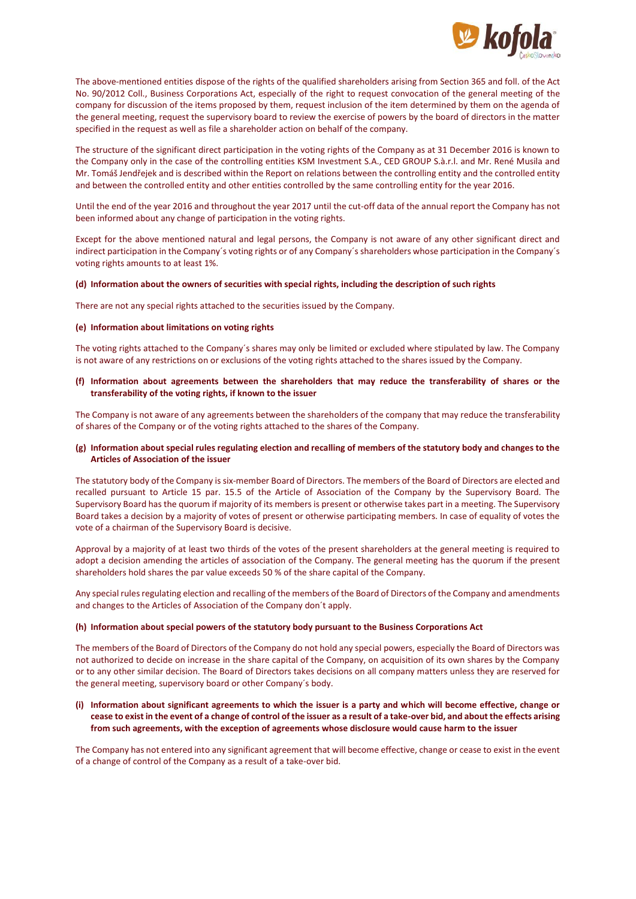

The above-mentioned entities dispose of the rights of the qualified shareholders arising from Section 365 and foll. of the Act No. 90/2012 Coll., Business Corporations Act, especially of the right to request convocation of the general meeting of the company for discussion of the items proposed by them, request inclusion of the item determined by them on the agenda of the general meeting, request the supervisory board to review the exercise of powers by the board of directors in the matter specified in the request as well as file a shareholder action on behalf of the company.

The structure of the significant direct participation in the voting rights of the Company as at 31 December 2016 is known to the Company only in the case of the controlling entities KSM Investment S.A., CED GROUP S.à.r.l. and Mr. René Musila and Mr. Tomáš Jendřejek and is described within the Report on relations between the controlling entity and the controlled entity and between the controlled entity and other entities controlled by the same controlling entity for the year 2016.

Until the end of the year 2016 and throughout the year 2017 until the cut-off data of the annual report the Company has not been informed about any change of participation in the voting rights.

Except for the above mentioned natural and legal persons, the Company is not aware of any other significant direct and indirect participation in the Company´s voting rights or of any Company´s shareholders whose participation in the Company´s voting rights amounts to at least 1%.

## **(d) Information about the owners of securities with special rights, including the description of such rights**

There are not any special rights attached to the securities issued by the Company.

#### **(e) Information about limitations on voting rights**

The voting rights attached to the Company´s shares may only be limited or excluded where stipulated by law. The Company is not aware of any restrictions on or exclusions of the voting rights attached to the shares issued by the Company.

# **(f) Information about agreements between the shareholders that may reduce the transferability of shares or the transferability of the voting rights, if known to the issuer**

The Company is not aware of any agreements between the shareholders of the company that may reduce the transferability of shares of the Company or of the voting rights attached to the shares of the Company.

## **(g) Information about special rules regulating election and recalling of members of the statutory body and changes to the Articles of Association of the issuer**

The statutory body of the Company is six-member Board of Directors. The members of the Board of Directors are elected and recalled pursuant to Article 15 par. 15.5 of the Article of Association of the Company by the Supervisory Board. The Supervisory Board has the quorum if majority of its members is present or otherwise takes part in a meeting. The Supervisory Board takes a decision by a majority of votes of present or otherwise participating members. In case of equality of votes the vote of a chairman of the Supervisory Board is decisive.

Approval by a majority of at least two thirds of the votes of the present shareholders at the general meeting is required to adopt a decision amending the articles of association of the Company. The general meeting has the quorum if the present shareholders hold shares the par value exceeds 50 % of the share capital of the Company.

Any special rules regulating election and recalling of the members of the Board of Directors of the Company and amendments and changes to the Articles of Association of the Company don´t apply.

## **(h) Information about special powers of the statutory body pursuant to the Business Corporations Act**

The members of the Board of Directors of the Company do not hold any special powers, especially the Board of Directors was not authorized to decide on increase in the share capital of the Company, on acquisition of its own shares by the Company or to any other similar decision. The Board of Directors takes decisions on all company matters unless they are reserved for the general meeting, supervisory board or other Company´s body.

# **(i) Information about significant agreements to which the issuer is a party and which will become effective, change or cease to exist in the event of a change of control of the issuer as a result of a take-over bid, and about the effects arising from such agreements, with the exception of agreements whose disclosure would cause harm to the issuer**

The Company has not entered into any significant agreement that will become effective, change or cease to exist in the event of a change of control of the Company as a result of a take-over bid.